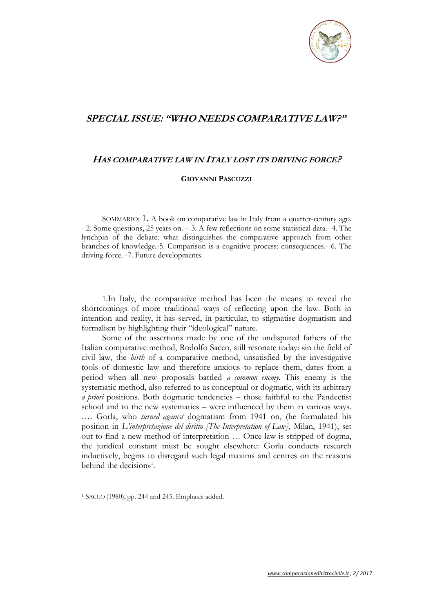

## **SPECIAL ISSUE: "WHO NEEDS COMPARATIVE LAW?"**

## **HAS COMPARATIVE LAW IN ITALY LOST ITS DRIVING FORCE?**

## **GIOVANNI PASCUZZI**

SOMMARIO: 1. A book on comparative law in Italy from a quarter-century ago. - 2. Some questions, 25 years on. – 3. A few reflections on some statistical data.- 4. The lynchpin of the debate: what distinguishes the comparative approach from other branches of knowledge.-5. Comparison is a cognitive process: consequences.- 6. The driving force. -7. Future developments.

1.In Italy, the comparative method has been the means to reveal the shortcomings of more traditional ways of reflecting upon the law. Both in intention and reality, it has served, in particular, to stigmatise dogmatism and formalism by highlighting their "ideological" nature.

Some of the assertions made by one of the undisputed fathers of the Italian comparative method, Rodolfo Sacco, still resonate today: «in the field of civil law, the *birth* of a comparative method, unsatisfied by the investigative tools of domestic law and therefore anxious to replace them, dates from a period when all new proposals battled *a common enemy.* This enemy is the systematic method, also referred to as conceptual or dogmatic, with its arbitrary *a priori* positions. Both dogmatic tendencies – those faithful to the Pandectist school and to the new systematics – were influenced by them in various ways. …. Gorla, who *turned against* dogmatism from 1941 on, (he formulated his position in *L'interpretazione del diritto [The Interpretation of Law]*, Milan, 1941), set out to find a new method of interpretation … Once law is stripped of dogma, the juridical constant must be sought elsewhere: Gorla conducts research inductively, begins to disregard such legal maxims and centres on the reasons behind the decision»<sup>1</sup>.

 $\overline{a}$ 

<sup>1</sup> SACCO (1980), pp. 244 and 245. Emphasis added.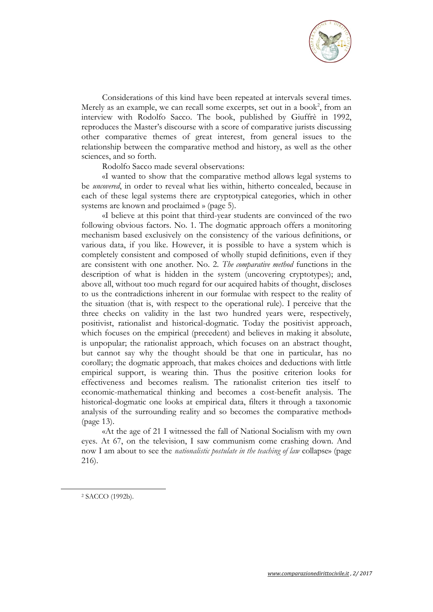

Considerations of this kind have been repeated at intervals several times. Merely as an example, we can recall some excerpts, set out in a book<sup>2</sup>, from an interview with Rodolfo Sacco. The book, published by Giuffrè in 1992, reproduces the Master's discourse with a score of comparative jurists discussing other comparative themes of great interest, from general issues to the relationship between the comparative method and history, as well as the other sciences, and so forth.

Rodolfo Sacco made several observations:

«I wanted to show that the comparative method allows legal systems to be *uncovered*, in order to reveal what lies within, hitherto concealed, because in each of these legal systems there are cryptotypical categories, which in other systems are known and proclaimed » (page 5).

«I believe at this point that third-year students are convinced of the two following obvious factors. No. 1. The dogmatic approach offers a monitoring mechanism based exclusively on the consistency of the various definitions, or various data, if you like. However, it is possible to have a system which is completely consistent and composed of wholly stupid definitions, even if they are consistent with one another. No. 2. *The comparative method* functions in the description of what is hidden in the system (uncovering cryptotypes); and, above all, without too much regard for our acquired habits of thought, discloses to us the contradictions inherent in our formulae with respect to the reality of the situation (that is, with respect to the operational rule). I perceive that the three checks on validity in the last two hundred years were, respectively, positivist, rationalist and historical-dogmatic. Today the positivist approach, which focuses on the empirical (precedent) and believes in making it absolute, is unpopular; the rationalist approach, which focuses on an abstract thought, but cannot say why the thought should be that one in particular, has no corollary; the dogmatic approach, that makes choices and deductions with little empirical support, is wearing thin. Thus the positive criterion looks for effectiveness and becomes realism. The rationalist criterion ties itself to economic-mathematical thinking and becomes a cost-benefit analysis. The historical-dogmatic one looks at empirical data, filters it through a taxonomic analysis of the surrounding reality and so becomes the comparative method» (page 13).

«At the age of 21 I witnessed the fall of National Socialism with my own eyes. At 67, on the television, I saw communism come crashing down. And now I am about to see the *nationalistic postulate in the teaching of law* collapse» (page 216).

<sup>2</sup> SACCO (1992b).

 $\overline{a}$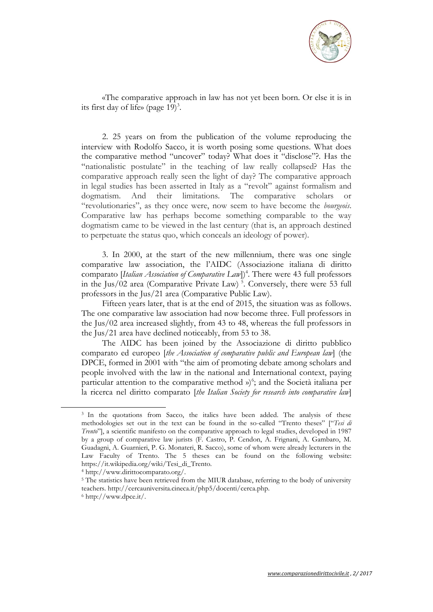

«The comparative approach in law has not yet been born. Or else it is in its first day of life» (page  $19$ )<sup>3</sup>.

2. 25 years on from the publication of the volume reproducing the interview with Rodolfo Sacco, it is worth posing some questions. What does the comparative method "uncover" today? What does it "disclose"?. Has the "nationalistic postulate" in the teaching of law really collapsed? Has the comparative approach really seen the light of day? The comparative approach in legal studies has been asserted in Italy as a "revolt" against formalism and dogmatism. And their limitations. The comparative scholars or "revolutionaries", as they once were, now seem to have become the *bourgeois*. Comparative law has perhaps become something comparable to the way dogmatism came to be viewed in the last century (that is, an approach destined to perpetuate the status quo, which conceals an ideology of power).

3. In 2000, at the start of the new millennium, there was one single comparative law association, the l'AIDC (Associazione italiana di diritto comparato [*Italian Association of Comparative Law*])<sup>4</sup>. There were 43 full professors in the Jus/02 area (Comparative Private Law)<sup>5</sup>. Conversely, there were 53 full professors in the Jus/21 area (Comparative Public Law).

Fifteen years later, that is at the end of 2015, the situation was as follows. The one comparative law association had now become three. Full professors in the Jus/02 area increased slightly, from 43 to 48, whereas the full professors in the Jus/21 area have declined noticeably, from 53 to 38.

The AIDC has been joined by the Associazione di diritto pubblico comparato ed europeo [*the Association of comparative public and European law*] (the DPCE, formed in 2001 with "the aim of promoting debate among scholars and people involved with the law in the national and International context, paying particular attention to the comparative method  $\psi$ <sup>6</sup>; and the Società italiana per la ricerca nel diritto comparato [*the Italian Society for research into comparative law*]

 $\overline{\phantom{a}}$ 

<sup>&</sup>lt;sup>3</sup> In the quotations from Sacco, the italics have been added. The analysis of these methodologies set out in the text can be found in the so-called "Trento theses" ["*Tesi di Trento*"], a scientific manifesto on the comparative approach to legal studies, developed in 1987 by a group of comparative law jurists (F. Castro, P. Cendon, A. Frignani, A. Gambaro, M. Guadagni, A. Guarnieri, P. G. Monateri, R. Sacco), some of whom were already lecturers in the Law Faculty of Trento. The 5 theses can be found on the following website: https://it.wikipedia.org/wiki/Tesi\_di\_Trento.

<sup>4</sup> http://www.dirittocomparato.org/.

<sup>&</sup>lt;sup>5</sup> The statistics have been retrieved from the MIUR database, referring to the body of university teachers. http://cercauniversita.cineca.it/php5/docenti/cerca.php. <sup>6</sup> http://www.dpce.it/.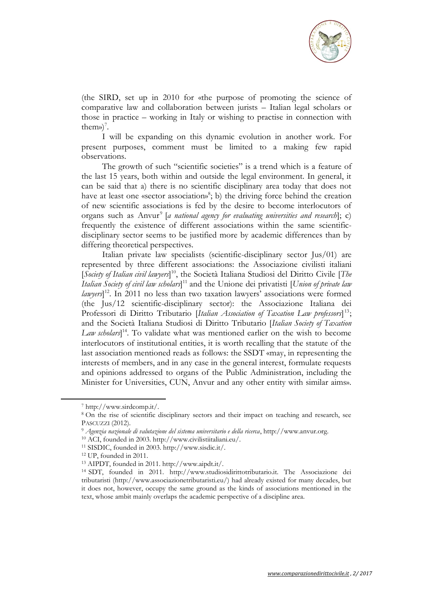

(the SIRD, set up in 2010 for «the purpose of promoting the science of comparative law and collaboration between jurists – Italian legal scholars or those in practice – working in Italy or wishing to practise in connection with them» $)^7$ .

I will be expanding on this dynamic evolution in another work. For present purposes, comment must be limited to a making few rapid observations.

The growth of such "scientific societies" is a trend which is a feature of the last 15 years, both within and outside the legal environment. In general, it can be said that a) there is no scientific disciplinary area today that does not have at least one «sector association»<sup>8</sup>; b) the driving force behind the creation of new scientific associations is fed by the desire to become interlocutors of organs such as Anvur<sup>9</sup> [*a national agency for evaluating universities and research*]; c) frequently the existence of different associations within the same scientificdisciplinary sector seems to be justified more by academic differences than by differing theoretical perspectives.

Italian private law specialists (scientific-disciplinary sector Jus/01) are represented by three different associations: the Associazione civilisti italiani [*Society of Italian civil lawyers*] <sup>10</sup>, the Società Italiana Studiosi del Diritto Civile [*The Italian Society of civil law scholars*] <sup>11</sup> and the Unione dei privatisti [*Union of private law lawyers*] <sup>12</sup>. In 2011 no less than two taxation lawyers' associations were formed (the Jus/12 scientific-disciplinary sector): the Associazione Italiana dei Professori di Diritto Tributario [*Italian Association of Taxation Law professors*]<sup>13</sup>; and the Società Italiana Studiosi di Diritto Tributario [*Italian Society of Taxation Law scholars*] <sup>14</sup>. To validate what was mentioned earlier on the wish to become interlocutors of institutional entities, it is worth recalling that the statute of the last association mentioned reads as follows: the SSDT «may, in representing the interests of members, and in any case in the general interest, formulate requests and opinions addressed to organs of the Public Administration, including the Minister for Universities, CUN, Anvur and any other entity with similar aims».

<sup>7</sup> http://www.sirdcomp.it/.

<sup>8</sup> On the rise of scientific disciplinary sectors and their impact on teaching and research, see PASCUZZI (2012).

<sup>9</sup> *Agenzia nazionale di valutazione del sistema universitario e della ricerca*, http://www.anvur.org.

<sup>10</sup> ACI, founded in 2003. http://www.civilistiitaliani.eu/.

<sup>11</sup> SISDIC, founded in 2003. http://www.sisdic.it/.

<sup>12</sup> UP, founded in 2011.

<sup>13</sup> AIPDT, founded in 2011. http://www.aipdt.it/.

<sup>14</sup> SDT, founded in 2011. http://www.studiosidirittotributario.it. The Associazione dei tributaristi (http://www.associazionetributaristi.eu/) had already existed for many decades, but it does not, however, occupy the same ground as the kinds of associations mentioned in the text, whose ambit mainly overlaps the academic perspective of a discipline area.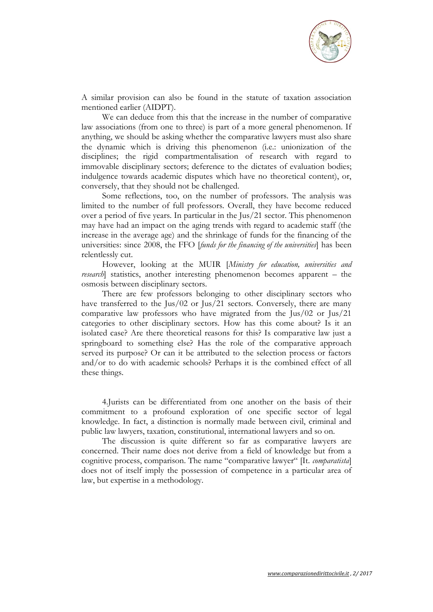

A similar provision can also be found in the statute of taxation association mentioned earlier (AIDPT).

We can deduce from this that the increase in the number of comparative law associations (from one to three) is part of a more general phenomenon. If anything, we should be asking whether the comparative lawyers must also share the dynamic which is driving this phenomenon (i.e.: unionization of the disciplines; the rigid compartmentalisation of research with regard to immovable disciplinary sectors; deference to the dictates of evaluation bodies; indulgence towards academic disputes which have no theoretical content), or, conversely, that they should not be challenged.

Some reflections, too, on the number of professors. The analysis was limited to the number of full professors. Overall, they have become reduced over a period of five years. In particular in the Jus/21 sector. This phenomenon may have had an impact on the aging trends with regard to academic staff (the increase in the average age) and the shrinkage of funds for the financing of the universities: since 2008, the FFO [*funds for the financing of the universities*] has been relentlessly cut.

However, looking at the MUIR [*Ministry for education, universities and research*] statistics, another interesting phenomenon becomes apparent – the osmosis between disciplinary sectors.

There are few professors belonging to other disciplinary sectors who have transferred to the Jus/02 or Jus/21 sectors. Conversely, there are many comparative law professors who have migrated from the Jus/02 or Jus/21 categories to other disciplinary sectors. How has this come about? Is it an isolated case? Are there theoretical reasons for this? Is comparative law just a springboard to something else? Has the role of the comparative approach served its purpose? Or can it be attributed to the selection process or factors and/or to do with academic schools? Perhaps it is the combined effect of all these things.

4.Jurists can be differentiated from one another on the basis of their commitment to a profound exploration of one specific sector of legal knowledge. In fact, a distinction is normally made between civil, criminal and public law lawyers, taxation, constitutional, international lawyers and so on.

The discussion is quite different so far as comparative lawyers are concerned. Their name does not derive from a field of knowledge but from a cognitive process, comparison. The name "comparative lawyer" [It. *comparatista*] does not of itself imply the possession of competence in a particular area of law, but expertise in a methodology.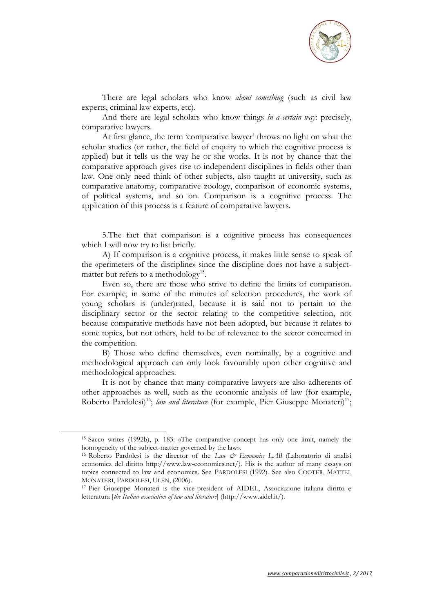

There are legal scholars who know *about something* (such as civil law experts, criminal law experts, etc).

And there are legal scholars who know things *in a certain way*: precisely, comparative lawyers.

At first glance, the term 'comparative lawyer' throws no light on what the scholar studies (or rather, the field of enquiry to which the cognitive process is applied) but it tells us the way he or she works. It is not by chance that the comparative approach gives rise to independent disciplines in fields other than law. One only need think of other subjects, also taught at university, such as comparative anatomy, comparative zoology, comparison of economic systems, of political systems, and so on. Comparison is a cognitive process. The application of this process is a feature of comparative lawyers.

5.The fact that comparison is a cognitive process has consequences which I will now try to list briefly.

A) If comparison is a cognitive process, it makes little sense to speak of the «perimeters of the discipline» since the discipline does not have a subjectmatter but refers to a methodology<sup>15</sup>.

Even so, there are those who strive to define the limits of comparison. For example, in some of the minutes of selection procedures, the work of young scholars is (under)rated, because it is said not to pertain to the disciplinary sector or the sector relating to the competitive selection, not because comparative methods have not been adopted, but because it relates to some topics, but not others, held to be of relevance to the sector concerned in the competition.

B) Those who define themselves, even nominally, by a cognitive and methodological approach can only look favourably upon other cognitive and methodological approaches.

It is not by chance that many comparative lawyers are also adherents of other approaches as well, such as the economic analysis of law (for example, Roberto Pardolesi<sup>16</sup>; *law and literature* (for example, Pier Giuseppe Monateri)<sup>17</sup>;

<sup>15</sup> Sacco writes (1992b), p. 183: «The comparative concept has only one limit, namely the homogeneity of the subject-matter governed by the law».

<sup>&</sup>lt;sup>16</sup> Roberto Pardolesi is the director of the *Law & Economics LAB* (Laboratorio di analisi economica del diritto http://www.law-economics.net/). His is the author of many essays on topics connected to law and economics. See PARDOLESI (1992). See also COOTER, MATTEI, MONATERI, PARDOLESI, ULEN, (2006).

<sup>17</sup> Pier Giuseppe Monateri is the vice-president of AIDEL, Associazione italiana diritto e letteratura [*the Italian association of law and literature*] (http://www.aidel.it/).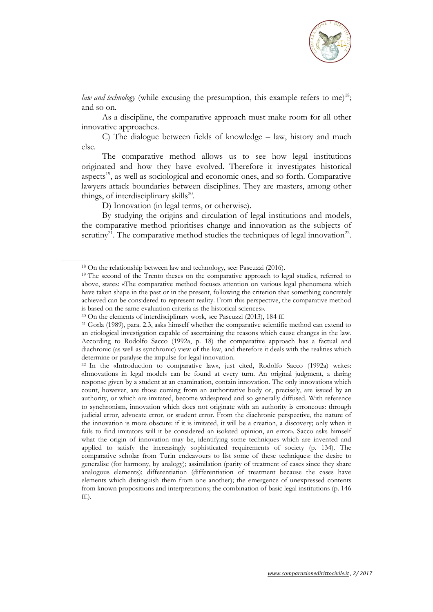

*law and technology* (while excusing the presumption, this example refers to me)<sup>18</sup>; and so on.

As a discipline, the comparative approach must make room for all other innovative approaches.

C) The dialogue between fields of knowledge – law, history and much else.

The comparative method allows us to see how legal institutions originated and how they have evolved. Therefore it investigates historical aspects<sup>19</sup>, as well as sociological and economic ones, and so forth. Comparative lawyers attack boundaries between disciplines. They are masters, among other things, of interdisciplinary skills<sup>20</sup>.

D) Innovation (in legal terms, or otherwise).

By studying the origins and circulation of legal institutions and models, the comparative method prioritises change and innovation as the subjects of scrutiny<sup>21</sup>. The comparative method studies the techniques of legal innovation<sup>22</sup>.

 $\overline{a}$ 

<sup>18</sup> On the relationship between law and technology, see: Pascuzzi (2016).

<sup>&</sup>lt;sup>19</sup> The second of the Trento theses on the comparative approach to legal studies, referred to above, states: «The comparative method focuses attention on various legal phenomena which have taken shape in the past or in the present, following the criterion that something concretely achieved can be considered to represent reality. From this perspective, the comparative method is based on the same evaluation criteria as the historical sciences».

<sup>20</sup> On the elements of interdisciplinary work, see Pascuzzi (2013), 184 ff.

<sup>21</sup> Gorla (1989), para. 2.3, asks himself whether the comparative scientific method can extend to an etiological investigation capable of ascertaining the reasons which cause changes in the law. According to Rodolfo Sacco (1992a, p. 18) the comparative approach has a factual and diachronic (as well as synchronic) view of the law, and therefore it deals with the realities which determine or paralyse the impulse for legal innovation.

<sup>22</sup> In the «Introduction to comparative law», just cited, Rodolfo Sacco (1992a) writes: «Innovations in legal models can be found at every turn. An original judgment, a daring response given by a student at an examination, contain innovation. The only innovations which count, however, are those coming from an authoritative body or, precisely, are issued by an authority, or which are imitated, become widespread and so generally diffused. With reference to synchronism, innovation which does not originate with an authority is erroneous: through judicial error, advocate error, or student error. From the diachronic perspective, the nature of the innovation is more obscure: if it is imitated, it will be a creation, a discovery; only when it fails to find imitators will it be considered an isolated opinion, an error». Sacco asks himself what the origin of innovation may be, identifying some techniques which are invented and applied to satisfy the increasingly sophisticated requirements of society (p. 134). The comparative scholar from Turin endeavours to list some of these techniques: the desire to generalise (for harmony, by analogy); assimilation (parity of treatment of cases since they share analogous elements); differentiation (differentiation of treatment because the cases have elements which distinguish them from one another); the emergence of unexpressed contents from known propositions and interpretations; the combination of basic legal institutions (p. 146 ff.).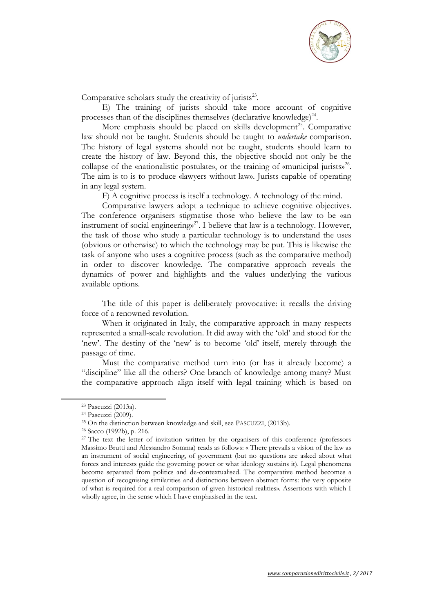

Comparative scholars study the creativity of jurists $^{23}$ .

E) The training of jurists should take more account of cognitive processes than of the disciplines themselves (declarative knowledge) $^{24}$ .

More emphasis should be placed on skills development<sup>25</sup>. Comparative law should not be taught. Students should be taught to *undertake* comparison. The history of legal systems should not be taught, students should learn to create the history of law. Beyond this, the objective should not only be the collapse of the «nationalistic postulate», or the training of «municipal jurists»<sup>26</sup>. The aim is to is to produce «lawyers without law». Jurists capable of operating in any legal system.

F) A cognitive process is itself a technology. A technology of the mind.

Comparative lawyers adopt a technique to achieve cognitive objectives. The conference organisers stigmatise those who believe the law to be «an instrument of social engineerings<sup>27</sup>. I believe that law is a technology. However, the task of those who study a particular technology is to understand the uses (obvious or otherwise) to which the technology may be put. This is likewise the task of anyone who uses a cognitive process (such as the comparative method) in order to discover knowledge. The comparative approach reveals the dynamics of power and highlights and the values underlying the various available options.

The title of this paper is deliberately provocative: it recalls the driving force of a renowned revolution.

When it originated in Italy, the comparative approach in many respects represented a small-scale revolution. It did away with the 'old' and stood for the 'new'. The destiny of the 'new' is to become 'old' itself, merely through the passage of time.

Must the comparative method turn into (or has it already become) a "discipline" like all the others? One branch of knowledge among many? Must the comparative approach align itself with legal training which is based on

<sup>23</sup> Pascuzzi (2013a).

<sup>24</sup> Pascuzzi (2009).

<sup>25</sup> On the distinction between knowledge and skill, see PASCUZZI, (2013b).

<sup>26</sup> Sacco (1992b), p. 216.

<sup>&</sup>lt;sup>27</sup> The text the letter of invitation written by the organisers of this conference (professors Massimo Brutti and Alessandro Somma) reads as follows: « There prevails a vision of the law as an instrument of social engineering, of government (but no questions are asked about what forces and interests guide the governing power or what ideology sustains it). Legal phenomena become separated from politics and de-contextualised. The comparative method becomes a question of recognising similarities and distinctions between abstract forms: the very opposite of what is required for a real comparison of given historical realities». Assertions with which I wholly agree, in the sense which I have emphasised in the text.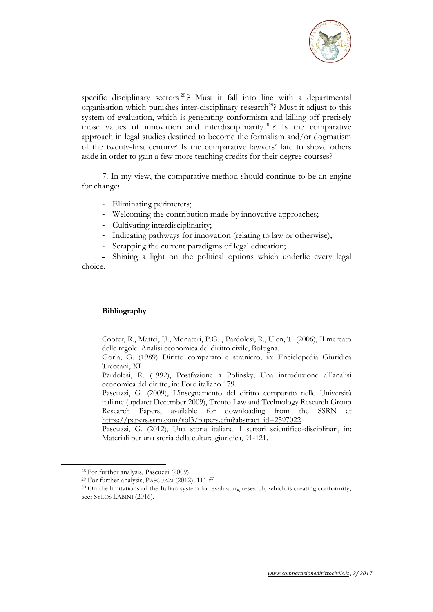

specific disciplinary sectors  $28$  ? Must it fall into line with a departmental organisation which punishes inter-disciplinary research<sup>29</sup>? Must it adjust to this system of evaluation, which is generating conformism and killing off precisely those values of innovation and interdisciplinarity  $30$  ? Is the comparative approach in legal studies destined to become the formalism and/or dogmatism of the twenty-first century? Is the comparative lawyers' fate to shove others aside in order to gain a few more teaching credits for their degree courses?

7. In my view, the comparative method should continue to be an engine for change:

- Eliminating perimeters;
- Welcoming the contribution made by innovative approaches;
- Cultivating interdisciplinarity;
- Indicating pathways for innovation (relating to law or otherwise);
- Scrapping the current paradigms of legal education;

- Shining a light on the political options which underlie every legal choice.

## **Bibliography**

Cooter, R., Mattei, U., Monateri, P.G. , Pardolesi, R., Ulen, T. (2006), Il mercato delle regole. Analisi economica del diritto civile, Bologna.

Gorla, G. (1989) Diritto comparato e straniero, in: Enciclopedia Giuridica Treccani, XI.

Pardolesi, R. (1992), Postfazione a Polinsky, Una introduzione all'analisi economica del diritto, in: Foro italiano 179.

Pascuzzi, G. (2009), L'insegnamento del diritto comparato nelle Università italiane (updatet December 2009), Trento Law and Technology Research Group Research Papers, available for downloading from the SSRN at [https://papers.ssrn.com/sol3/papers.cfm?abstract\\_id=2597022](https://papers.ssrn.com/sol3/papers.cfm?abstract_id=2597022)

Pascuzzi, G. (2012), Una storia italiana. I settori scientifico-disciplinari, in: Materiali per una storia della cultura giuridica, 91-121.

<sup>28</sup> For further analysis, Pascuzzi (2009).

<sup>29</sup> For further analysis, PASCUZZI (2012), 111 ff.

<sup>&</sup>lt;sup>30</sup> On the limitations of the Italian system for evaluating research, which is creating conformity, see: SYLOS LABINI (2016).